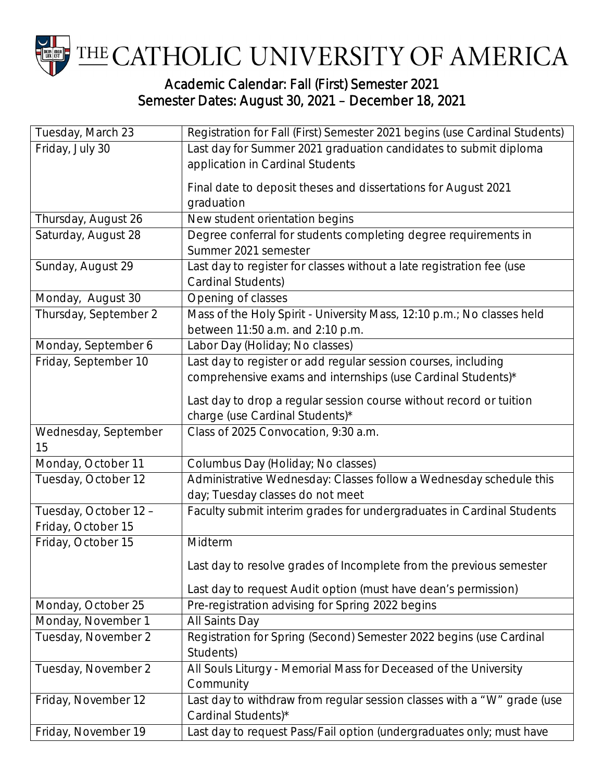

## Academic Calendar: Fall (First) Semester 2021 Semester Dates: August 30, 2021 – December 18, 2021

| Tuesday, March 23                          | Registration for Fall (First) Semester 2021 begins (use Cardinal Students) |
|--------------------------------------------|----------------------------------------------------------------------------|
| Friday, July 30                            | Last day for Summer 2021 graduation candidates to submit diploma           |
|                                            | application in Cardinal Students                                           |
|                                            | Final date to deposit theses and dissertations for August 2021             |
|                                            | graduation                                                                 |
|                                            | New student orientation begins                                             |
| Thursday, August 26<br>Saturday, August 28 | Degree conferral for students completing degree requirements in            |
|                                            | Summer 2021 semester                                                       |
| Sunday, August 29                          | Last day to register for classes without a late registration fee (use      |
|                                            | Cardinal Students)                                                         |
| Monday, August 30                          | Opening of classes                                                         |
| Thursday, September 2                      | Mass of the Holy Spirit - University Mass, 12:10 p.m.; No classes held     |
|                                            | between 11:50 a.m. and 2:10 p.m.                                           |
| Monday, September 6                        | Labor Day (Holiday; No classes)                                            |
| Friday, September 10                       | Last day to register or add regular session courses, including             |
|                                            | comprehensive exams and internships (use Cardinal Students)*               |
|                                            | Last day to drop a regular session course without record or tuition        |
|                                            | charge (use Cardinal Students)*                                            |
| Wednesday, September                       | Class of 2025 Convocation, 9:30 a.m.                                       |
| 15                                         |                                                                            |
| Monday, October 11                         | Columbus Day (Holiday; No classes)                                         |
| Tuesday, October 12                        | Administrative Wednesday: Classes follow a Wednesday schedule this         |
|                                            | day; Tuesday classes do not meet                                           |
| Tuesday, October 12 -                      | Faculty submit interim grades for undergraduates in Cardinal Students      |
| Friday, October 15                         |                                                                            |
| Friday, October 15                         | Midterm                                                                    |
|                                            | Last day to resolve grades of Incomplete from the previous semester        |
|                                            | Last day to request Audit option (must have dean's permission)             |
| Monday, October 25                         | Pre-registration advising for Spring 2022 begins                           |
| Monday, November 1                         | All Saints Day                                                             |
| Tuesday, November 2                        | Registration for Spring (Second) Semester 2022 begins (use Cardinal        |
|                                            | Students)                                                                  |
| Tuesday, November 2                        | All Souls Liturgy - Memorial Mass for Deceased of the University           |
|                                            | Community                                                                  |
| Friday, November 12                        | Last day to withdraw from regular session classes with a "W" grade (use    |
|                                            | Cardinal Students)*                                                        |
| Friday, November 19                        | Last day to request Pass/Fail option (undergraduates only; must have       |